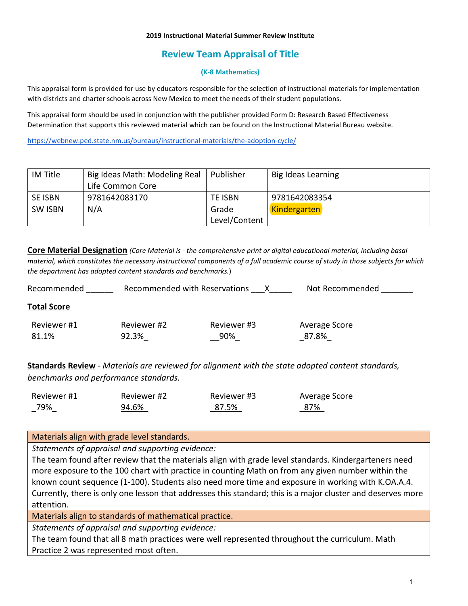# **Review Team Appraisal of Title**

### **(K-8 Mathematics)**

This appraisal form is provided for use by educators responsible for the selection of instructional materials for implementation with districts and charter schools across New Mexico to meet the needs of their student populations.

This appraisal form should be used in conjunction with the publisher provided Form D: Research Based Effectiveness Determination that supports this reviewed material which can be found on the Instructional Material Bureau website.

<https://webnew.ped.state.nm.us/bureaus/instructional-materials/the-adoption-cycle/>

| IM Title       | Big Ideas Math: Modeling Real | Publisher     | Big Ideas Learning |
|----------------|-------------------------------|---------------|--------------------|
|                | Life Common Core              |               |                    |
| SE ISBN        | 9781642083170                 | TE ISBN       | 9781642083354      |
| <b>SW ISBN</b> | N/A                           | Grade         | Kindergarten       |
|                |                               | Level/Content |                    |

**Core Material Designation** *(Core Material is - the comprehensive print or digital educational material, including basal material, which constitutes the necessary instructional components of a full academic course of study in those subjects for which the department has adopted content standards and benchmarks.*)

| Recommended        | Recommended with Reservations |             | Not Recommended |  |
|--------------------|-------------------------------|-------------|-----------------|--|
| <b>Total Score</b> |                               |             |                 |  |
| Reviewer #1        | Reviewer #2                   | Reviewer #3 | Average Score   |  |
| 81.1%              | 92.3%                         | 90%         | 87.8%           |  |

**Standards Review** - *Materials are reviewed for alignment with the state adopted content standards, benchmarks and performance standards.*

| Reviewer #1 | Reviewer #2 | Reviewer #3 | Average Score |
|-------------|-------------|-------------|---------------|
| 79%         | 94.6%       | 87.5%       | 87%           |

Materials align with grade level standards.

*Statements of appraisal and supporting evidence:*

The team found after review that the materials align with grade level standards. Kindergarteners need more exposure to the 100 chart with practice in counting Math on from any given number within the known count sequence (1-100). Students also need more time and exposure in working with K.OA.A.4. Currently, there is only one lesson that addresses this standard; this is a major cluster and deserves more attention.

Materials align to standards of mathematical practice.

*Statements of appraisal and supporting evidence:*

The team found that all 8 math practices were well represented throughout the curriculum. Math Practice 2 was represented most often.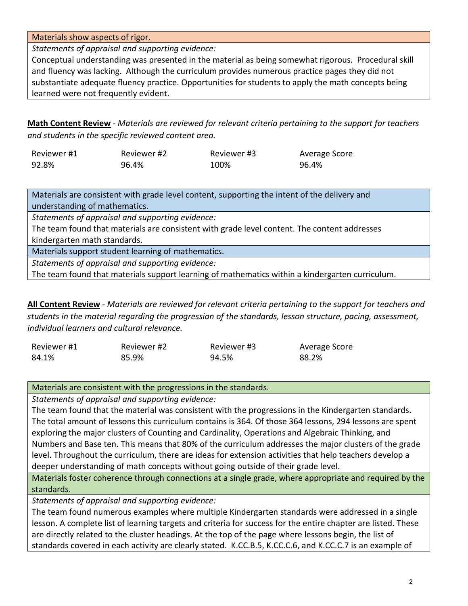Materials show aspects of rigor.

*Statements of appraisal and supporting evidence:*

Conceptual understanding was presented in the material as being somewhat rigorous*.* Procedural skill and fluency was lacking. Although the curriculum provides numerous practice pages they did not substantiate adequate fluency practice. Opportunities for students to apply the math concepts being learned were not frequently evident.

**Math Content Review** - *Materials are reviewed for relevant criteria pertaining to the support for teachers and students in the specific reviewed content area.*

| Reviewer #1 | Reviewer #2 | Reviewer #3 | Average Score |
|-------------|-------------|-------------|---------------|
| 92.8%       | 96.4%       | 100%        | 96.4%         |

Materials are consistent with grade level content, supporting the intent of the delivery and understanding of mathematics.

*Statements of appraisal and supporting evidence:* 

The team found that materials are consistent with grade level content. The content addresses kindergarten math standards.

Materials support student learning of mathematics.

*Statements of appraisal and supporting evidence:* 

The team found that materials support learning of mathematics within a kindergarten curriculum.

**All Content Review** - *Materials are reviewed for relevant criteria pertaining to the support for teachers and students in the material regarding the progression of the standards, lesson structure, pacing, assessment, individual learners and cultural relevance.*

| Reviewer #1 | Reviewer #2 | Reviewer #3 | Average Score |
|-------------|-------------|-------------|---------------|
| 84.1%       | 85.9%       | 94.5%       | 88.2%         |

Materials are consistent with the progressions in the standards.

*Statements of appraisal and supporting evidence:* 

The team found that the material was consistent with the progressions in the Kindergarten standards. The total amount of lessons this curriculum contains is 364. Of those 364 lessons, 294 lessons are spent exploring the major clusters of Counting and Cardinality, Operations and Algebraic Thinking, and Numbers and Base ten. This means that 80% of the curriculum addresses the major clusters of the grade level. Throughout the curriculum, there are ideas for extension activities that help teachers develop a deeper understanding of math concepts without going outside of their grade level.

Materials foster coherence through connections at a single grade, where appropriate and required by the standards.

*Statements of appraisal and supporting evidence:* 

The team found numerous examples where multiple Kindergarten standards were addressed in a single lesson. A complete list of learning targets and criteria for success for the entire chapter are listed. These are directly related to the cluster headings. At the top of the page where lessons begin, the list of standards covered in each activity are clearly stated. K.CC.B.5, K.CC.C.6, and K.CC.C.7 is an example of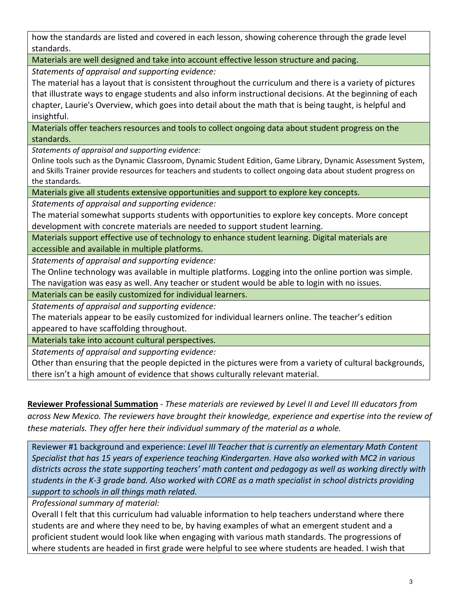how the standards are listed and covered in each lesson, showing coherence through the grade level standards.

Materials are well designed and take into account effective lesson structure and pacing.

*Statements of appraisal and supporting evidence:* 

The material has a layout that is consistent throughout the curriculum and there is a variety of pictures that illustrate ways to engage students and also inform instructional decisions. At the beginning of each chapter, Laurie's Overview, which goes into detail about the math that is being taught, is helpful and insightful.

Materials offer teachers resources and tools to collect ongoing data about student progress on the standards.

*Statements of appraisal and supporting evidence:*

Online tools such as the Dynamic Classroom, Dynamic Student Edition, Game Library, Dynamic Assessment System, and Skills Trainer provide resources for teachers and students to collect ongoing data about student progress on the standards.

Materials give all students extensive opportunities and support to explore key concepts.

*Statements of appraisal and supporting evidence:*

The material somewhat supports students with opportunities to explore key concepts. More concept development with concrete materials are needed to support student learning.

Materials support effective use of technology to enhance student learning. Digital materials are accessible and available in multiple platforms.

*Statements of appraisal and supporting evidence:*

The Online technology was available in multiple platforms. Logging into the online portion was simple. The navigation was easy as well. Any teacher or student would be able to login with no issues.

Materials can be easily customized for individual learners.

*Statements of appraisal and supporting evidence:*

The materials appear to be easily customized for individual learners online. The teacher's edition appeared to have scaffolding throughout.

Materials take into account cultural perspectives.

*Statements of appraisal and supporting evidence:*

Other than ensuring that the people depicted in the pictures were from a variety of cultural backgrounds, there isn't a high amount of evidence that shows culturally relevant material.

**Reviewer Professional Summation** - *These materials are reviewed by Level II and Level III educators from across New Mexico. The reviewers have brought their knowledge, experience and expertise into the review of these materials. They offer here their individual summary of the material as a whole.* 

Reviewer #1 background and experience: *Level III Teacher that is currently an elementary Math Content Specialist that has 15 years of experience teaching Kindergarten. Have also worked with MC2 in various districts across the state supporting teachers' math content and pedagogy as well as working directly with students in the K-3 grade band. Also worked with CORE as a math specialist in school districts providing support to schools in all things math related.*

*Professional summary of material:*

Overall I felt that this curriculum had valuable information to help teachers understand where there students are and where they need to be, by having examples of what an emergent student and a proficient student would look like when engaging with various math standards. The progressions of where students are headed in first grade were helpful to see where students are headed. I wish that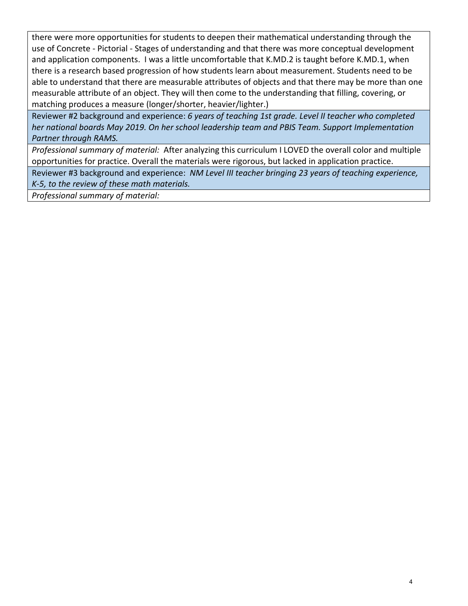there were more opportunities for students to deepen their mathematical understanding through the use of Concrete - Pictorial - Stages of understanding and that there was more conceptual development and application components. I was a little uncomfortable that K.MD.2 is taught before K.MD.1, when there is a research based progression of how students learn about measurement. Students need to be able to understand that there are measurable attributes of objects and that there may be more than one measurable attribute of an object. They will then come to the understanding that filling, covering, or matching produces a measure (longer/shorter, heavier/lighter.)

Reviewer #2 background and experience: *6 years of teaching 1st grade. Level II teacher who completed her national boards May 2019. On her school leadership team and PBIS Team. Support Implementation Partner through RAMS.* 

*Professional summary of material:* After analyzing this curriculum I LOVED the overall color and multiple opportunities for practice. Overall the materials were rigorous, but lacked in application practice.

Reviewer #3 background and experience: *NM Level III teacher bringing 23 years of teaching experience, K-5, to the review of these math materials.* 

*Professional summary of material:*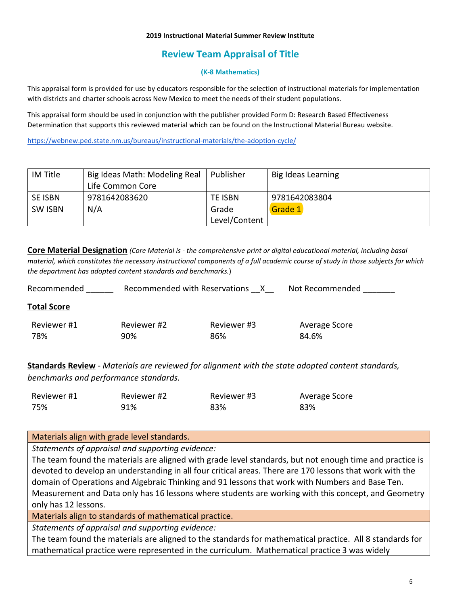# **Review Team Appraisal of Title**

### **(K-8 Mathematics)**

This appraisal form is provided for use by educators responsible for the selection of instructional materials for implementation with districts and charter schools across New Mexico to meet the needs of their student populations.

This appraisal form should be used in conjunction with the publisher provided Form D: Research Based Effectiveness Determination that supports this reviewed material which can be found on the Instructional Material Bureau website.

<https://webnew.ped.state.nm.us/bureaus/instructional-materials/the-adoption-cycle/>

| IM Title       | Big Ideas Math: Modeling Real | Publisher     | Big Ideas Learning |
|----------------|-------------------------------|---------------|--------------------|
|                | Life Common Core              |               |                    |
| <b>SE ISBN</b> | 9781642083620                 | TE ISBN       | 9781642083804      |
| <b>SW ISBN</b> | N/A                           | Grade         | Grade 1            |
|                |                               | Level/Content |                    |

**Core Material Designation** *(Core Material is - the comprehensive print or digital educational material, including basal material, which constitutes the necessary instructional components of a full academic course of study in those subjects for which the department has adopted content standards and benchmarks.*)

| Recommended        | Recommended with Reservations | X.          | Not Recommended |
|--------------------|-------------------------------|-------------|-----------------|
| <b>Total Score</b> |                               |             |                 |
| Reviewer #1        | Reviewer #2                   | Reviewer #3 | Average Score   |
| 78%                | 90%                           | 86%         | 84.6%           |

**Standards Review** - *Materials are reviewed for alignment with the state adopted content standards, benchmarks and performance standards.*

| Reviewer #1 | Reviewer #2 | Reviewer #3 | Average Score |
|-------------|-------------|-------------|---------------|
| 75%         | 91%         | 83%         | 83%           |

Materials align with grade level standards.

*Statements of appraisal and supporting evidence:*

The team found the materials are aligned with grade level standards, but not enough time and practice is devoted to develop an understanding in all four critical areas. There are 170 lessons that work with the domain of Operations and Algebraic Thinking and 91 lessons that work with Numbers and Base Ten. Measurement and Data only has 16 lessons where students are working with this concept, and Geometry only has 12 lessons.

Materials align to standards of mathematical practice.

*Statements of appraisal and supporting evidence:*

The team found the materials are aligned to the standards for mathematical practice. All 8 standards for mathematical practice were represented in the curriculum. Mathematical practice 3 was widely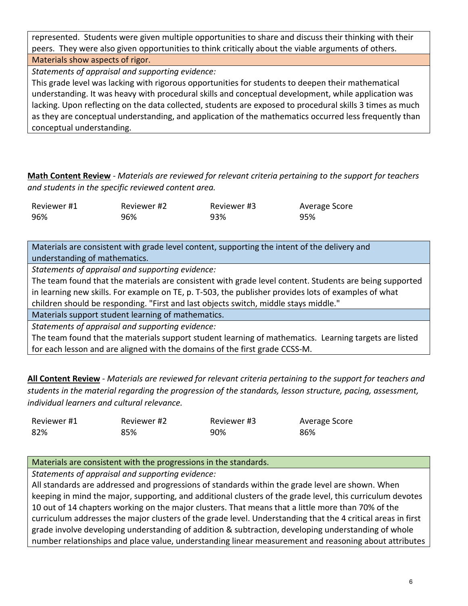represented. Students were given multiple opportunities to share and discuss their thinking with their peers. They were also given opportunities to think critically about the viable arguments of others.

Materials show aspects of rigor.

*Statements of appraisal and supporting evidence:*

This grade level was lacking with rigorous opportunities for students to deepen their mathematical understanding. It was heavy with procedural skills and conceptual development, while application was lacking. Upon reflecting on the data collected, students are exposed to procedural skills 3 times as much as they are conceptual understanding, and application of the mathematics occurred less frequently than conceptual understanding.

**Math Content Review** - *Materials are reviewed for relevant criteria pertaining to the support for teachers and students in the specific reviewed content area.*

| Reviewer #1 | Reviewer #2 | Reviewer #3 | Average Score |
|-------------|-------------|-------------|---------------|
| 96%         | 96%         | 93%         | 95%           |

Materials are consistent with grade level content, supporting the intent of the delivery and understanding of mathematics.

*Statements of appraisal and supporting evidence:*

The team found that the materials are consistent with grade level content. Students are being supported in learning new skills. For example on TE, p. T-503, the publisher provides lots of examples of what children should be responding. "First and last objects switch, middle stays middle."

Materials support student learning of mathematics.

*Statements of appraisal and supporting evidence:*

The team found that the materials support student learning of mathematics. Learning targets are listed for each lesson and are aligned with the domains of the first grade CCSS-M.

**All Content Review** - *Materials are reviewed for relevant criteria pertaining to the support for teachers and students in the material regarding the progression of the standards, lesson structure, pacing, assessment, individual learners and cultural relevance.*

| Reviewer #1 | Reviewer #2 | Reviewer #3 | Average Score |
|-------------|-------------|-------------|---------------|
| 82%         | 85%         | 90%         | 86%           |

# Materials are consistent with the progressions in the standards.

*Statements of appraisal and supporting evidence:*

All standards are addressed and progressions of standards within the grade level are shown. When keeping in mind the major, supporting, and additional clusters of the grade level, this curriculum devotes 10 out of 14 chapters working on the major clusters. That means that a little more than 70% of the curriculum addresses the major clusters of the grade level. Understanding that the 4 critical areas in first grade involve developing understanding of addition & subtraction, developing understanding of whole number relationships and place value, understanding linear measurement and reasoning about attributes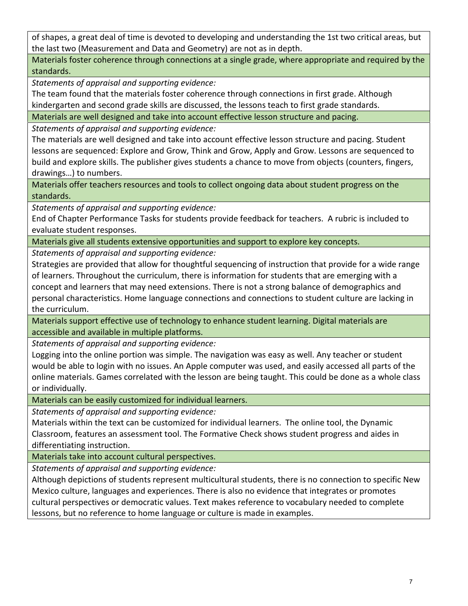of shapes, a great deal of time is devoted to developing and understanding the 1st two critical areas, but the last two (Measurement and Data and Geometry) are not as in depth.

Materials foster coherence through connections at a single grade, where appropriate and required by the standards.

*Statements of appraisal and supporting evidence:*

The team found that the materials foster coherence through connections in first grade. Although kindergarten and second grade skills are discussed, the lessons teach to first grade standards.

Materials are well designed and take into account effective lesson structure and pacing.

*Statements of appraisal and supporting evidence:*

The materials are well designed and take into account effective lesson structure and pacing. Student lessons are sequenced: Explore and Grow, Think and Grow, Apply and Grow. Lessons are sequenced to build and explore skills. The publisher gives students a chance to move from objects (counters, fingers, drawings…) to numbers.

Materials offer teachers resources and tools to collect ongoing data about student progress on the standards.

*Statements of appraisal and supporting evidence:*

End of Chapter Performance Tasks for students provide feedback for teachers. A rubric is included to evaluate student responses.

Materials give all students extensive opportunities and support to explore key concepts.

*Statements of appraisal and supporting evidence:*

Strategies are provided that allow for thoughtful sequencing of instruction that provide for a wide range of learners. Throughout the curriculum, there is information for students that are emerging with a concept and learners that may need extensions. There is not a strong balance of demographics and personal characteristics. Home language connections and connections to student culture are lacking in the curriculum.

Materials support effective use of technology to enhance student learning. Digital materials are accessible and available in multiple platforms.

*Statements of appraisal and supporting evidence:*

Logging into the online portion was simple. The navigation was easy as well. Any teacher or student would be able to login with no issues. An Apple computer was used, and easily accessed all parts of the online materials. Games correlated with the lesson are being taught. This could be done as a whole class or individually.

Materials can be easily customized for individual learners.

*Statements of appraisal and supporting evidence:*

Materials within the text can be customized for individual learners. The online tool, the Dynamic Classroom, features an assessment tool. The Formative Check shows student progress and aides in differentiating instruction.

Materials take into account cultural perspectives.

*Statements of appraisal and supporting evidence:*

Although depictions of students represent multicultural students, there is no connection to specific New Mexico culture, languages and experiences. There is also no evidence that integrates or promotes cultural perspectives or democratic values. Text makes reference to vocabulary needed to complete lessons, but no reference to home language or culture is made in examples.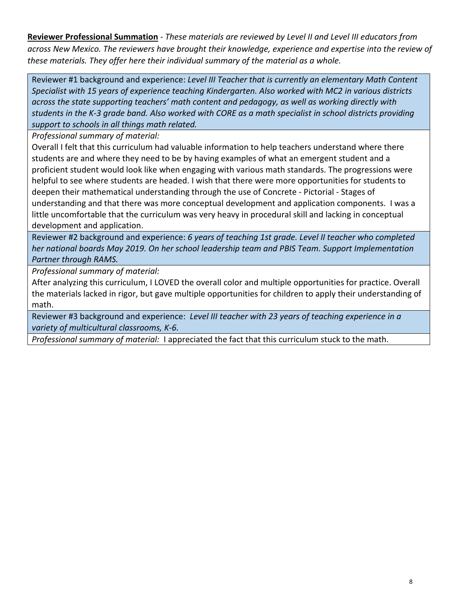**Reviewer Professional Summation** - *These materials are reviewed by Level II and Level III educators from across New Mexico. The reviewers have brought their knowledge, experience and expertise into the review of these materials. They offer here their individual summary of the material as a whole.* 

Reviewer #1 background and experience: *Level III Teacher that is currently an elementary Math Content Specialist with 15 years of experience teaching Kindergarten. Also worked with MC2 in various districts across the state supporting teachers' math content and pedagogy, as well as working directly with students in the K-3 grade band. Also worked with CORE as a math specialist in school districts providing support to schools in all things math related.*

*Professional summary of material:*

Overall I felt that this curriculum had valuable information to help teachers understand where there students are and where they need to be by having examples of what an emergent student and a proficient student would look like when engaging with various math standards. The progressions were helpful to see where students are headed. I wish that there were more opportunities for students to deepen their mathematical understanding through the use of Concrete - Pictorial - Stages of understanding and that there was more conceptual development and application components. I was a little uncomfortable that the curriculum was very heavy in procedural skill and lacking in conceptual development and application.

Reviewer #2 background and experience: *6 years of teaching 1st grade. Level II teacher who completed her national boards May 2019. On her school leadership team and PBIS Team. Support Implementation Partner through RAMS.* 

*Professional summary of material:*

After analyzing this curriculum, I LOVED the overall color and multiple opportunities for practice. Overall the materials lacked in rigor, but gave multiple opportunities for children to apply their understanding of math.

Reviewer #3 background and experience: *Level III teacher with 23 years of teaching experience in a variety of multicultural classrooms, K-6.*

*Professional summary of material:* I appreciated the fact that this curriculum stuck to the math.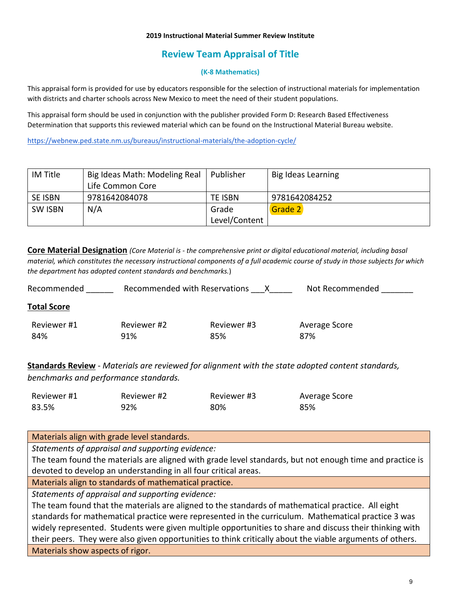# **Review Team Appraisal of Title**

### **(K-8 Mathematics)**

This appraisal form is provided for use by educators responsible for the selection of instructional materials for implementation with districts and charter schools across New Mexico to meet the need of their student populations.

This appraisal form should be used in conjunction with the publisher provided Form D: Research Based Effectiveness Determination that supports this reviewed material which can be found on the Instructional Material Bureau website.

<https://webnew.ped.state.nm.us/bureaus/instructional-materials/the-adoption-cycle/>

| IM Title       | Big Ideas Math: Modeling Real | l Publisher    | Big Ideas Learning |
|----------------|-------------------------------|----------------|--------------------|
|                | Life Common Core              |                |                    |
| <b>SE ISBN</b> | 9781642084078                 | <b>TE ISBN</b> | 9781642084252      |
| <b>SW ISBN</b> | N/A                           | Grade          | Grade 2            |
|                |                               | Level/Content  |                    |

**Core Material Designation** *(Core Material is - the comprehensive print or digital educational material, including basal material, which constitutes the necessary instructional components of a full academic course of study in those subjects for which the department has adopted content standards and benchmarks.*)

| Recommended        |                    | Recommended with Reservations | Not Recommended      |
|--------------------|--------------------|-------------------------------|----------------------|
| <b>Total Score</b> |                    |                               |                      |
| Reviewer #1<br>84% | Reviewer #2<br>91% | Reviewer #3<br>85%            | Average Score<br>87% |

**Standards Review** - *Materials are reviewed for alignment with the state adopted content standards, benchmarks and performance standards.*

| Reviewer #1 | Reviewer #2 | Reviewer #3 | Average Score |
|-------------|-------------|-------------|---------------|
| 83.5%       | 92%         | 80%         | 85%           |

## Materials align with grade level standards.

*Statements of appraisal and supporting evidence:*

The team found the materials are aligned with grade level standards, but not enough time and practice is devoted to develop an understanding in all four critical areas.

Materials align to standards of mathematical practice.

*Statements of appraisal and supporting evidence:*

The team found that the materials are aligned to the standards of mathematical practice. All eight standards for mathematical practice were represented in the curriculum. Mathematical practice 3 was widely represented. Students were given multiple opportunities to share and discuss their thinking with their peers. They were also given opportunities to think critically about the viable arguments of others. Materials show aspects of rigor.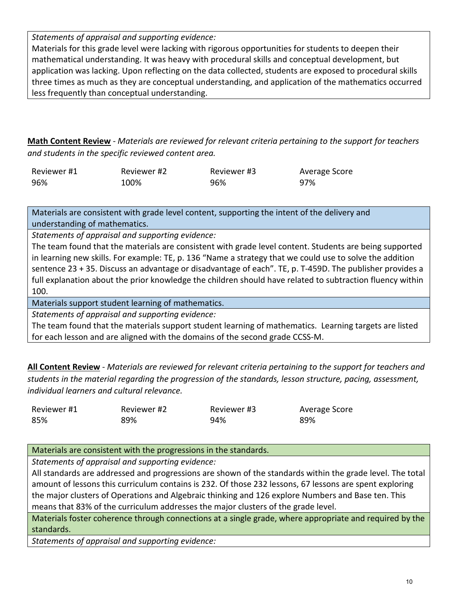*Statements of appraisal and supporting evidence:*

Materials for this grade level were lacking with rigorous opportunities for students to deepen their mathematical understanding. It was heavy with procedural skills and conceptual development, but application was lacking. Upon reflecting on the data collected, students are exposed to procedural skills three times as much as they are conceptual understanding, and application of the mathematics occurred less frequently than conceptual understanding.

**Math Content Review** - *Materials are reviewed for relevant criteria pertaining to the support for teachers and students in the specific reviewed content area.*

| Reviewer #1 | Reviewer #2 | Reviewer #3 | Average Score |
|-------------|-------------|-------------|---------------|
| 96%         | 100%        | 96%         | 97%           |

Materials are consistent with grade level content, supporting the intent of the delivery and understanding of mathematics.

*Statements of appraisal and supporting evidence:*

The team found that the materials are consistent with grade level content. Students are being supported in learning new skills. For example: TE, p. 136 "Name a strategy that we could use to solve the addition sentence 23 + 35. Discuss an advantage or disadvantage of each". TE, p. T-459D. The publisher provides a full explanation about the prior knowledge the children should have related to subtraction fluency within 100.

Materials support student learning of mathematics.

*Statements of appraisal and supporting evidence:*

The team found that the materials support student learning of mathematics. Learning targets are listed for each lesson and are aligned with the domains of the second grade CCSS-M.

**All Content Review** - *Materials are reviewed for relevant criteria pertaining to the support for teachers and students in the material regarding the progression of the standards, lesson structure, pacing, assessment, individual learners and cultural relevance.*

| Reviewer #1 | Reviewer #2 | Reviewer #3 | Average Score |
|-------------|-------------|-------------|---------------|
| 85%         | 89%         | 94%         | 89%           |

Materials are consistent with the progressions in the standards.

*Statements of appraisal and supporting evidence:*

All standards are addressed and progressions are shown of the standards within the grade level. The total amount of lessons this curriculum contains is 232. Of those 232 lessons, 67 lessons are spent exploring the major clusters of Operations and Algebraic thinking and 126 explore Numbers and Base ten. This means that 83% of the curriculum addresses the major clusters of the grade level.

Materials foster coherence through connections at a single grade, where appropriate and required by the standards.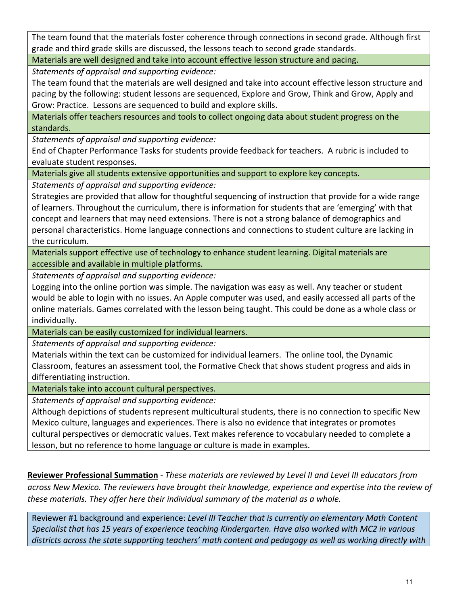The team found that the materials foster coherence through connections in second grade. Although first grade and third grade skills are discussed, the lessons teach to second grade standards.

Materials are well designed and take into account effective lesson structure and pacing.

*Statements of appraisal and supporting evidence:*

The team found that the materials are well designed and take into account effective lesson structure and pacing by the following: student lessons are sequenced, Explore and Grow, Think and Grow, Apply and Grow: Practice. Lessons are sequenced to build and explore skills.

Materials offer teachers resources and tools to collect ongoing data about student progress on the standards.

*Statements of appraisal and supporting evidence:*

End of Chapter Performance Tasks for students provide feedback for teachers. A rubric is included to evaluate student responses.

Materials give all students extensive opportunities and support to explore key concepts.

*Statements of appraisal and supporting evidence:*

Strategies are provided that allow for thoughtful sequencing of instruction that provide for a wide range of learners. Throughout the curriculum, there is information for students that are 'emerging' with that concept and learners that may need extensions. There is not a strong balance of demographics and personal characteristics. Home language connections and connections to student culture are lacking in the curriculum.

Materials support effective use of technology to enhance student learning. Digital materials are accessible and available in multiple platforms.

*Statements of appraisal and supporting evidence:*

Logging into the online portion was simple. The navigation was easy as well. Any teacher or student would be able to login with no issues. An Apple computer was used, and easily accessed all parts of the online materials. Games correlated with the lesson being taught. This could be done as a whole class or individually.

Materials can be easily customized for individual learners.

*Statements of appraisal and supporting evidence:*

Materials within the text can be customized for individual learners. The online tool, the Dynamic Classroom, features an assessment tool, the Formative Check that shows student progress and aids in differentiating instruction.

Materials take into account cultural perspectives.

*Statements of appraisal and supporting evidence:*

Although depictions of students represent multicultural students, there is no connection to specific New Mexico culture, languages and experiences. There is also no evidence that integrates or promotes cultural perspectives or democratic values. Text makes reference to vocabulary needed to complete a lesson, but no reference to home language or culture is made in examples.

**Reviewer Professional Summation** - *These materials are reviewed by Level II and Level III educators from across New Mexico. The reviewers have brought their knowledge, experience and expertise into the review of these materials. They offer here their individual summary of the material as a whole.* 

Reviewer #1 background and experience: *Level III Teacher that is currently an elementary Math Content Specialist that has 15 years of experience teaching Kindergarten. Have also worked with MC2 in various districts across the state supporting teachers' math content and pedagogy as well as working directly with*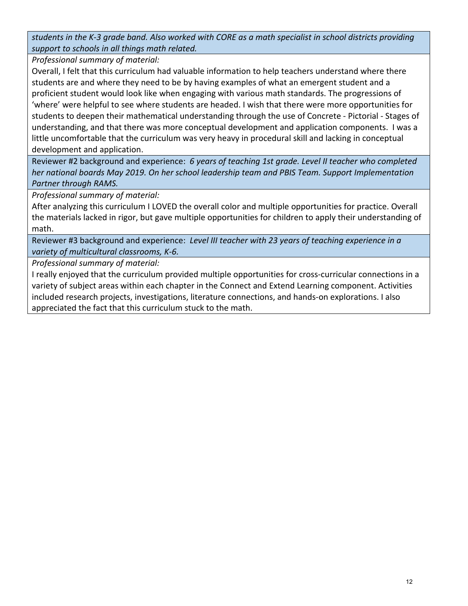*students in the K-3 grade band. Also worked with CORE as a math specialist in school districts providing support to schools in all things math related.*

*Professional summary of material:*

Overall, I felt that this curriculum had valuable information to help teachers understand where there students are and where they need to be by having examples of what an emergent student and a proficient student would look like when engaging with various math standards. The progressions of 'where' were helpful to see where students are headed. I wish that there were more opportunities for students to deepen their mathematical understanding through the use of Concrete - Pictorial - Stages of understanding, and that there was more conceptual development and application components. I was a little uncomfortable that the curriculum was very heavy in procedural skill and lacking in conceptual development and application.

Reviewer #2 background and experience: *6 years of teaching 1st grade. Level II teacher who completed her national boards May 2019. On her school leadership team and PBIS Team. Support Implementation Partner through RAMS.* 

*Professional summary of material:*

After analyzing this curriculum I LOVED the overall color and multiple opportunities for practice. Overall the materials lacked in rigor, but gave multiple opportunities for children to apply their understanding of math.

Reviewer #3 background and experience: *Level III teacher with 23 years of teaching experience in a variety of multicultural classrooms, K-6.*

*Professional summary of material:*

I really enjoyed that the curriculum provided multiple opportunities for cross-curricular connections in a variety of subject areas within each chapter in the Connect and Extend Learning component. Activities included research projects, investigations, literature connections, and hands-on explorations. I also appreciated the fact that this curriculum stuck to the math.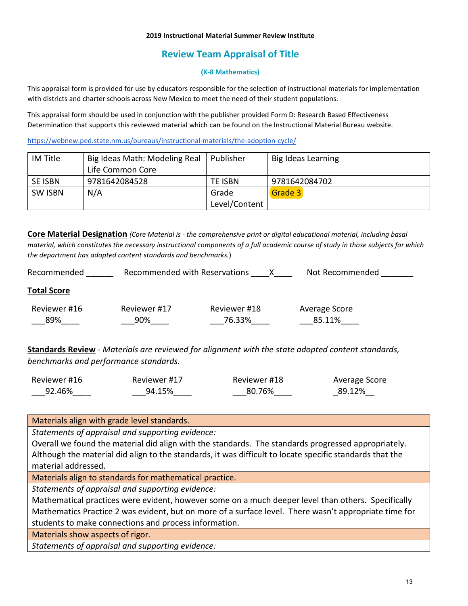# **Review Team Appraisal of Title**

### **(K-8 Mathematics)**

This appraisal form is provided for use by educators responsible for the selection of instructional materials for implementation with districts and charter schools across New Mexico to meet the need of their student populations.

This appraisal form should be used in conjunction with the publisher provided Form D: Research Based Effectiveness Determination that supports this reviewed material which can be found on the Instructional Material Bureau website.

<https://webnew.ped.state.nm.us/bureaus/instructional-materials/the-adoption-cycle/>

| IM Title       | Big Ideas Math: Modeling Real | Publisher     | Big Ideas Learning |
|----------------|-------------------------------|---------------|--------------------|
|                | Life Common Core              |               |                    |
| SE ISBN        | 9781642084528                 | TE ISBN       | 9781642084702      |
| <b>SW ISBN</b> | N/A                           | Grade         | Grade 3            |
|                |                               | Level/Content |                    |

**Core Material Designation** *(Core Material is - the comprehensive print or digital educational material, including basal material, which constitutes the necessary instructional components of a full academic course of study in those subjects for which the department has adopted content standards and benchmarks.*)

| Recommended         | Recommended with Reservations |                        | Not Recommended         |
|---------------------|-------------------------------|------------------------|-------------------------|
| <b>Total Score</b>  |                               |                        |                         |
| Reviewer #16<br>89% | Reviewer #17<br>90%           | Reviewer #18<br>76.33% | Average Score<br>85.11% |

**Standards Review** - *Materials are reviewed for alignment with the state adopted content standards, benchmarks and performance standards.*

| Reviewer #16 | Reviewer #17 | Reviewer #18 | Average Score |
|--------------|--------------|--------------|---------------|
| 92.46%       | 94.15%       | 80.76%       | 89.12%        |

Materials align with grade level standards.

*Statements of appraisal and supporting evidence:*

Overall we found the material did align with the standards. The standards progressed appropriately. Although the material did align to the standards, it was difficult to locate specific standards that the material addressed.

Materials align to standards for mathematical practice.

*Statements of appraisal and supporting evidence:*

Mathematical practices were evident, however some on a much deeper level than others. Specifically Mathematics Practice 2 was evident, but on more of a surface level. There wasn't appropriate time for students to make connections and process information.

Materials show aspects of rigor.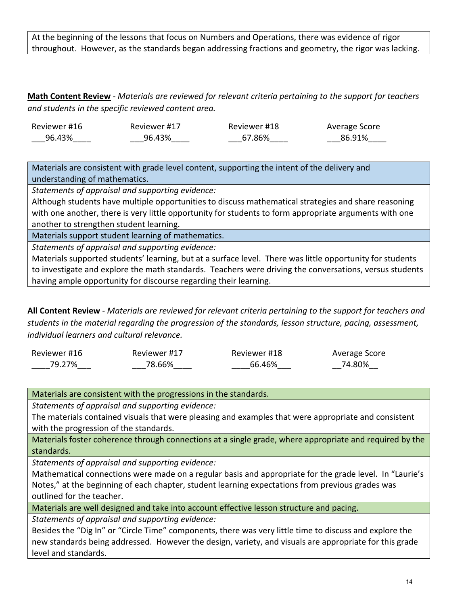At the beginning of the lessons that focus on Numbers and Operations, there was evidence of rigor throughout. However, as the standards began addressing fractions and geometry, the rigor was lacking.

**Math Content Review** - *Materials are reviewed for relevant criteria pertaining to the support for teachers and students in the specific reviewed content area.*

| Reviewer #16 | Reviewer #17 | Reviewer #18 | Average Score |
|--------------|--------------|--------------|---------------|
| 96.43%       | 96.43%       | 67.86%       | 86.91%        |

Materials are consistent with grade level content, supporting the intent of the delivery and understanding of mathematics.

*Statements of appraisal and supporting evidence:*

Although students have multiple opportunities to discuss mathematical strategies and share reasoning with one another, there is very little opportunity for students to form appropriate arguments with one another to strengthen student learning.

Materials support student learning of mathematics.

*Statements of appraisal and supporting evidence:*

Materials supported students' learning, but at a surface level. There was little opportunity for students to investigate and explore the math standards. Teachers were driving the conversations, versus students having ample opportunity for discourse regarding their learning.

**All Content Review** - *Materials are reviewed for relevant criteria pertaining to the support for teachers and students in the material regarding the progression of the standards, lesson structure, pacing, assessment, individual learners and cultural relevance.*

| Reviewer #16 | Reviewer #17 | Reviewer #18 | Average Score |
|--------------|--------------|--------------|---------------|
| 79.27%       | 78.66%       | 66.46%       | 74.80%        |

Materials are consistent with the progressions in the standards.

*Statements of appraisal and supporting evidence:*

The materials contained visuals that were pleasing and examples that were appropriate and consistent with the progression of the standards.

Materials foster coherence through connections at a single grade, where appropriate and required by the standards.

*Statements of appraisal and supporting evidence:*

Mathematical connections were made on a regular basis and appropriate for the grade level. In "Laurie's Notes," at the beginning of each chapter, student learning expectations from previous grades was outlined for the teacher.

Materials are well designed and take into account effective lesson structure and pacing.

*Statements of appraisal and supporting evidence:*

Besides the "Dig In" or "Circle Time" components, there was very little time to discuss and explore the new standards being addressed. However the design, variety, and visuals are appropriate for this grade level and standards.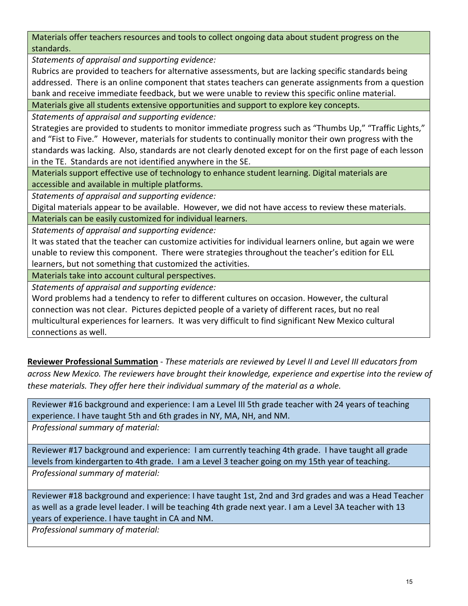Materials offer teachers resources and tools to collect ongoing data about student progress on the standards.

*Statements of appraisal and supporting evidence:*

Rubrics are provided to teachers for alternative assessments, but are lacking specific standards being addressed. There is an online component that states teachers can generate assignments from a question bank and receive immediate feedback, but we were unable to review this specific online material.

Materials give all students extensive opportunities and support to explore key concepts.

*Statements of appraisal and supporting evidence:*

Strategies are provided to students to monitor immediate progress such as "Thumbs Up," "Traffic Lights," and "Fist to Five." However, materials for students to continually monitor their own progress with the standards was lacking. Also, standards are not clearly denoted except for on the first page of each lesson in the TE. Standards are not identified anywhere in the SE.

Materials support effective use of technology to enhance student learning. Digital materials are accessible and available in multiple platforms.

*Statements of appraisal and supporting evidence:*

Digital materials appear to be available. However, we did not have access to review these materials.

Materials can be easily customized for individual learners.

*Statements of appraisal and supporting evidence:*

It was stated that the teacher can customize activities for individual learners online, but again we were unable to review this component. There were strategies throughout the teacher's edition for ELL learners, but not something that customized the activities.

Materials take into account cultural perspectives.

*Statements of appraisal and supporting evidence:*

Word problems had a tendency to refer to different cultures on occasion. However, the cultural connection was not clear. Pictures depicted people of a variety of different races, but no real multicultural experiences for learners. It was very difficult to find significant New Mexico cultural connections as well.

**Reviewer Professional Summation** - *These materials are reviewed by Level II and Level III educators from across New Mexico. The reviewers have brought their knowledge, experience and expertise into the review of these materials. They offer here their individual summary of the material as a whole.* 

Reviewer #16 background and experience: I am a Level III 5th grade teacher with 24 years of teaching experience. I have taught 5th and 6th grades in NY, MA, NH, and NM.

*Professional summary of material:*

Reviewer #17 background and experience: I am currently teaching 4th grade. I have taught all grade levels from kindergarten to 4th grade. I am a Level 3 teacher going on my 15th year of teaching. *Professional summary of material:*

Reviewer #18 background and experience: I have taught 1st, 2nd and 3rd grades and was a Head Teacher as well as a grade level leader. I will be teaching 4th grade next year. I am a Level 3A teacher with 13 years of experience. I have taught in CA and NM.

*Professional summary of material:*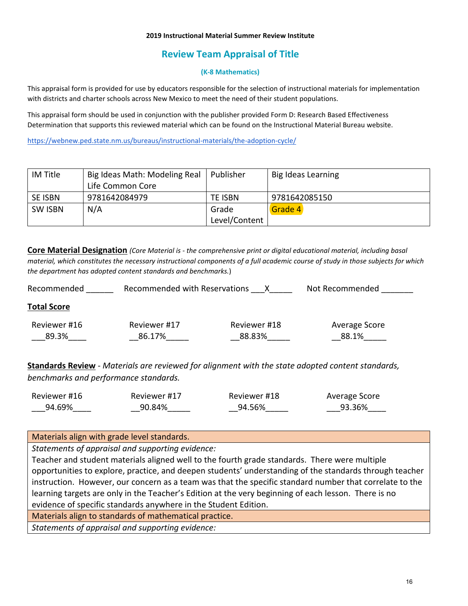# **Review Team Appraisal of Title**

### **(K-8 Mathematics)**

This appraisal form is provided for use by educators responsible for the selection of instructional materials for implementation with districts and charter schools across New Mexico to meet the need of their student populations.

This appraisal form should be used in conjunction with the publisher provided Form D: Research Based Effectiveness Determination that supports this reviewed material which can be found on the Instructional Material Bureau website.

<https://webnew.ped.state.nm.us/bureaus/instructional-materials/the-adoption-cycle/>

| IM Title       | Big Ideas Math: Modeling Real | Publisher      | Big Ideas Learning |
|----------------|-------------------------------|----------------|--------------------|
|                | Life Common Core              |                |                    |
| SE ISBN        | 9781642084979                 | <b>TE ISBN</b> | 9781642085150      |
| <b>SW ISBN</b> | N/A                           | Grade          | Grade 4            |
|                |                               | Level/Content  |                    |

**Core Material Designation** *(Core Material is - the comprehensive print or digital educational material, including basal material, which constitutes the necessary instructional components of a full academic course of study in those subjects for which the department has adopted content standards and benchmarks.*)

| Recommended        | Recommended with Reservations |              | Not Recommended |
|--------------------|-------------------------------|--------------|-----------------|
| <b>Total Score</b> |                               |              |                 |
| Reviewer #16       | Reviewer #17                  | Reviewer #18 | Average Score   |
| 89.3%              | 86.17%                        | 88.83%       | 88.1%           |

**Standards Review** - *Materials are reviewed for alignment with the state adopted content standards, benchmarks and performance standards.*

| Reviewer #16 | Reviewer #17 | Reviewer #18 | Average Score |
|--------------|--------------|--------------|---------------|
| 94.69%       | 90.84%       | 94.56%       | 93.36%        |

## Materials align with grade level standards.

*Statements of appraisal and supporting evidence:*

Teacher and student materials aligned well to the fourth grade standards. There were multiple opportunities to explore, practice, and deepen students' understanding of the standards through teacher instruction. However, our concern as a team was that the specific standard number that correlate to the learning targets are only in the Teacher's Edition at the very beginning of each lesson. There is no evidence of specific standards anywhere in the Student Edition.

Materials align to standards of mathematical practice.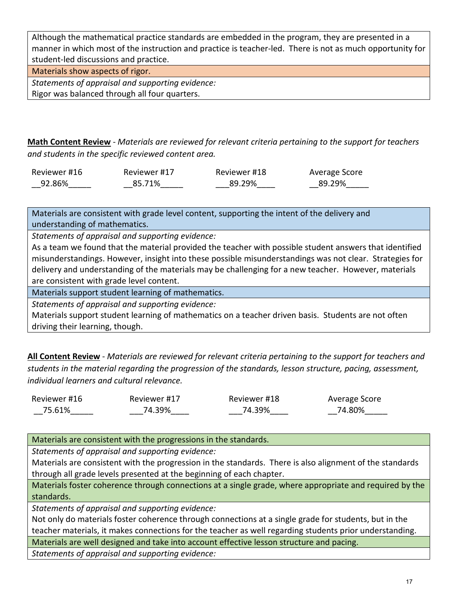Although the mathematical practice standards are embedded in the program, they are presented in a manner in which most of the instruction and practice is teacher-led. There is not as much opportunity for student-led discussions and practice.

Materials show aspects of rigor.

*Statements of appraisal and supporting evidence:* Rigor was balanced through all four quarters.

**Math Content Review** - *Materials are reviewed for relevant criteria pertaining to the support for teachers and students in the specific reviewed content area.*

| Reviewer #16 | Reviewer #17 | Reviewer #18 | Average Score |
|--------------|--------------|--------------|---------------|
| 92.86%       | 85.71%       | 89.29%       | 89.29%        |

Materials are consistent with grade level content, supporting the intent of the delivery and understanding of mathematics.

*Statements of appraisal and supporting evidence:*

As a team we found that the material provided the teacher with possible student answers that identified misunderstandings. However, insight into these possible misunderstandings was not clear. Strategies for delivery and understanding of the materials may be challenging for a new teacher. However, materials are consistent with grade level content.

Materials support student learning of mathematics.

*Statements of appraisal and supporting evidence:*

Materials support student learning of mathematics on a teacher driven basis. Students are not often driving their learning, though.

**All Content Review** - *Materials are reviewed for relevant criteria pertaining to the support for teachers and students in the material regarding the progression of the standards, lesson structure, pacing, assessment, individual learners and cultural relevance.*

| Reviewer #16 | Reviewer #17 | Reviewer #18 | Average Score |
|--------------|--------------|--------------|---------------|
| 75.61%       | 74.39%       | 74.39%       | 74.80%        |

Materials are consistent with the progressions in the standards.

*Statements of appraisal and supporting evidence:*

Materials are consistent with the progression in the standards. There is also alignment of the standards through all grade levels presented at the beginning of each chapter.

Materials foster coherence through connections at a single grade, where appropriate and required by the standards.

*Statements of appraisal and supporting evidence:*

Not only do materials foster coherence through connections at a single grade for students, but in the teacher materials, it makes connections for the teacher as well regarding students prior understanding.

Materials are well designed and take into account effective lesson structure and pacing.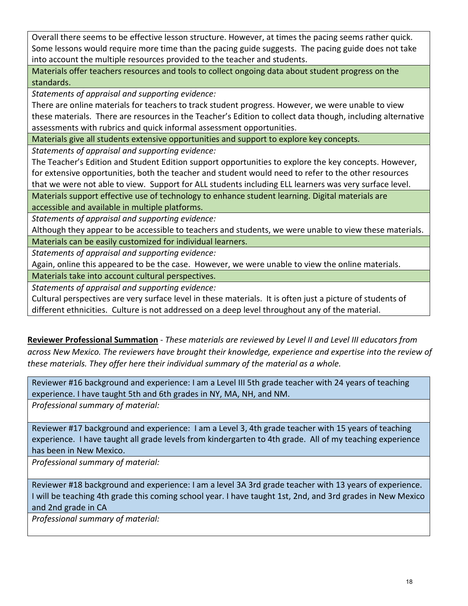Overall there seems to be effective lesson structure. However, at times the pacing seems rather quick. Some lessons would require more time than the pacing guide suggests. The pacing guide does not take into account the multiple resources provided to the teacher and students.

Materials offer teachers resources and tools to collect ongoing data about student progress on the standards.

*Statements of appraisal and supporting evidence:*

There are online materials for teachers to track student progress. However, we were unable to view these materials. There are resources in the Teacher's Edition to collect data though, including alternative assessments with rubrics and quick informal assessment opportunities.

Materials give all students extensive opportunities and support to explore key concepts.

*Statements of appraisal and supporting evidence:*

The Teacher's Edition and Student Edition support opportunities to explore the key concepts. However, for extensive opportunities, both the teacher and student would need to refer to the other resources that we were not able to view. Support for ALL students including ELL learners was very surface level.

Materials support effective use of technology to enhance student learning. Digital materials are accessible and available in multiple platforms.

*Statements of appraisal and supporting evidence:*

Although they appear to be accessible to teachers and students, we were unable to view these materials.

Materials can be easily customized for individual learners.

*Statements of appraisal and supporting evidence:*

Again, online this appeared to be the case. However, we were unable to view the online materials.

Materials take into account cultural perspectives.

*Statements of appraisal and supporting evidence:*

Cultural perspectives are very surface level in these materials. It is often just a picture of students of different ethnicities. Culture is not addressed on a deep level throughout any of the material.

**Reviewer Professional Summation** - *These materials are reviewed by Level II and Level III educators from across New Mexico. The reviewers have brought their knowledge, experience and expertise into the review of these materials. They offer here their individual summary of the material as a whole.* 

Reviewer #16 background and experience: I am a Level III 5th grade teacher with 24 years of teaching experience. I have taught 5th and 6th grades in NY, MA, NH, and NM.

*Professional summary of material:*

Reviewer #17 background and experience: I am a Level 3, 4th grade teacher with 15 years of teaching experience. I have taught all grade levels from kindergarten to 4th grade. All of my teaching experience has been in New Mexico.

*Professional summary of material:*

Reviewer #18 background and experience: I am a level 3A 3rd grade teacher with 13 years of experience. I will be teaching 4th grade this coming school year. I have taught 1st, 2nd, and 3rd grades in New Mexico and 2nd grade in CA

*Professional summary of material:*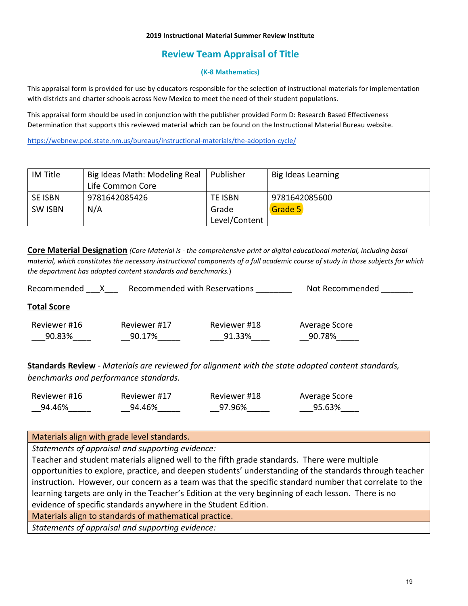# **Review Team Appraisal of Title**

### **(K-8 Mathematics)**

This appraisal form is provided for use by educators responsible for the selection of instructional materials for implementation with districts and charter schools across New Mexico to meet the need of their student populations.

This appraisal form should be used in conjunction with the publisher provided Form D: Research Based Effectiveness Determination that supports this reviewed material which can be found on the Instructional Material Bureau website.

<https://webnew.ped.state.nm.us/bureaus/instructional-materials/the-adoption-cycle/>

| IM Title       | Big Ideas Math: Modeling Real | Publisher      | Big Ideas Learning |
|----------------|-------------------------------|----------------|--------------------|
|                | Life Common Core              |                |                    |
| <b>SE ISBN</b> | 9781642085426                 | <b>TE ISBN</b> | 9781642085600      |
| <b>SW ISBN</b> | N/A                           | Grade          | Grade 5            |
|                |                               | Level/Content  |                    |

**Core Material Designation** *(Core Material is - the comprehensive print or digital educational material, including basal material, which constitutes the necessary instructional components of a full academic course of study in those subjects for which the department has adopted content standards and benchmarks.*)

| Recommended        |              | Recommended with Reservations | Not Recommended |
|--------------------|--------------|-------------------------------|-----------------|
| <b>Total Score</b> |              |                               |                 |
| Reviewer #16       | Reviewer #17 | Reviewer #18                  | Average Score   |
| 90.83%             | 90.17%       | 91.33%                        | 90.78%          |
|                    |              |                               |                 |

**Standards Review** - *Materials are reviewed for alignment with the state adopted content standards, benchmarks and performance standards.*

| Reviewer #16 | Reviewer #17 | Reviewer #18 | Average Score |
|--------------|--------------|--------------|---------------|
| 94.46%       | 94.46%       | 97.96%       | 95.63%        |

Materials align with grade level standards.

*Statements of appraisal and supporting evidence:*

Teacher and student materials aligned well to the fifth grade standards. There were multiple opportunities to explore, practice, and deepen students' understanding of the standards through teacher instruction. However, our concern as a team was that the specific standard number that correlate to the learning targets are only in the Teacher's Edition at the very beginning of each lesson. There is no evidence of specific standards anywhere in the Student Edition.

Materials align to standards of mathematical practice.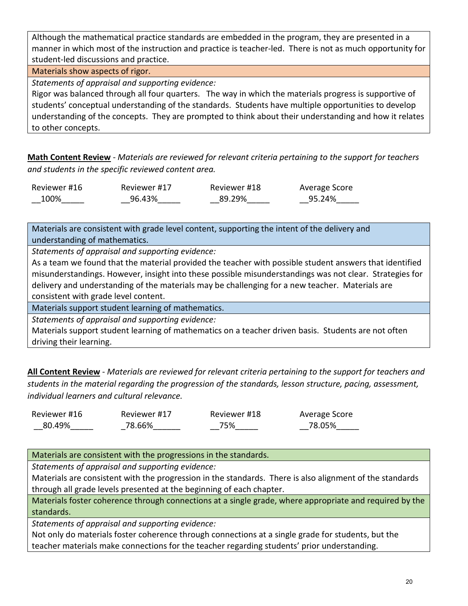Although the mathematical practice standards are embedded in the program, they are presented in a manner in which most of the instruction and practice is teacher-led. There is not as much opportunity for student-led discussions and practice.

Materials show aspects of rigor.

*Statements of appraisal and supporting evidence:*

Rigor was balanced through all four quarters. The way in which the materials progress is supportive of students' conceptual understanding of the standards. Students have multiple opportunities to develop understanding of the concepts. They are prompted to think about their understanding and how it relates to other concepts.

**Math Content Review** - *Materials are reviewed for relevant criteria pertaining to the support for teachers and students in the specific reviewed content area.*

| Reviewer #16 | Reviewer #17 | Reviewer #18 | Average Score |
|--------------|--------------|--------------|---------------|
| 100%         | 96.43%       | 89.29%       | 95.24%        |

Materials are consistent with grade level content, supporting the intent of the delivery and understanding of mathematics.

*Statements of appraisal and supporting evidence:*

As a team we found that the material provided the teacher with possible student answers that identified misunderstandings. However, insight into these possible misunderstandings was not clear. Strategies for delivery and understanding of the materials may be challenging for a new teacher. Materials are consistent with grade level content.

Materials support student learning of mathematics.

*Statements of appraisal and supporting evidence:*

Materials support student learning of mathematics on a teacher driven basis. Students are not often driving their learning.

**All Content Review** - *Materials are reviewed for relevant criteria pertaining to the support for teachers and students in the material regarding the progression of the standards, lesson structure, pacing, assessment, individual learners and cultural relevance.*

| Reviewer #16 | Reviewer #17 | Reviewer #18 | Average Score |
|--------------|--------------|--------------|---------------|
| 80.49%       | 78.66%       | 75%          | 78.05%        |

Materials are consistent with the progressions in the standards.

*Statements of appraisal and supporting evidence:*

Materials are consistent with the progression in the standards. There is also alignment of the standards through all grade levels presented at the beginning of each chapter.

Materials foster coherence through connections at a single grade, where appropriate and required by the standards.

*Statements of appraisal and supporting evidence:*

Not only do materials foster coherence through connections at a single grade for students, but the teacher materials make connections for the teacher regarding students' prior understanding.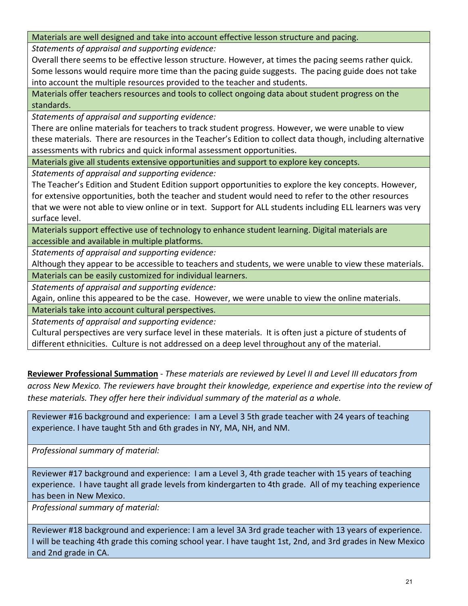Materials are well designed and take into account effective lesson structure and pacing.

*Statements of appraisal and supporting evidence:*

Overall there seems to be effective lesson structure. However, at times the pacing seems rather quick. Some lessons would require more time than the pacing guide suggests. The pacing guide does not take into account the multiple resources provided to the teacher and students.

Materials offer teachers resources and tools to collect ongoing data about student progress on the standards.

*Statements of appraisal and supporting evidence:*

There are online materials for teachers to track student progress. However, we were unable to view these materials. There are resources in the Teacher's Edition to collect data though, including alternative assessments with rubrics and quick informal assessment opportunities.

Materials give all students extensive opportunities and support to explore key concepts.

*Statements of appraisal and supporting evidence:*

The Teacher's Edition and Student Edition support opportunities to explore the key concepts. However, for extensive opportunities, both the teacher and student would need to refer to the other resources that we were not able to view online or in text. Support for ALL students including ELL learners was very surface level.

Materials support effective use of technology to enhance student learning. Digital materials are accessible and available in multiple platforms.

*Statements of appraisal and supporting evidence:*

Although they appear to be accessible to teachers and students, we were unable to view these materials. Materials can be easily customized for individual learners.

*Statements of appraisal and supporting evidence:*

Again, online this appeared to be the case. However, we were unable to view the online materials.

Materials take into account cultural perspectives.

*Statements of appraisal and supporting evidence:*

Cultural perspectives are very surface level in these materials. It is often just a picture of students of different ethnicities. Culture is not addressed on a deep level throughout any of the material.

**Reviewer Professional Summation** - *These materials are reviewed by Level II and Level III educators from across New Mexico. The reviewers have brought their knowledge, experience and expertise into the review of these materials. They offer here their individual summary of the material as a whole.* 

Reviewer #16 background and experience: I am a Level 3 5th grade teacher with 24 years of teaching experience. I have taught 5th and 6th grades in NY, MA, NH, and NM.

*Professional summary of material:*

Reviewer #17 background and experience: I am a Level 3, 4th grade teacher with 15 years of teaching experience. I have taught all grade levels from kindergarten to 4th grade. All of my teaching experience has been in New Mexico.

*Professional summary of material:*

Reviewer #18 background and experience: I am a level 3A 3rd grade teacher with 13 years of experience. I will be teaching 4th grade this coming school year. I have taught 1st, 2nd, and 3rd grades in New Mexico and 2nd grade in CA.